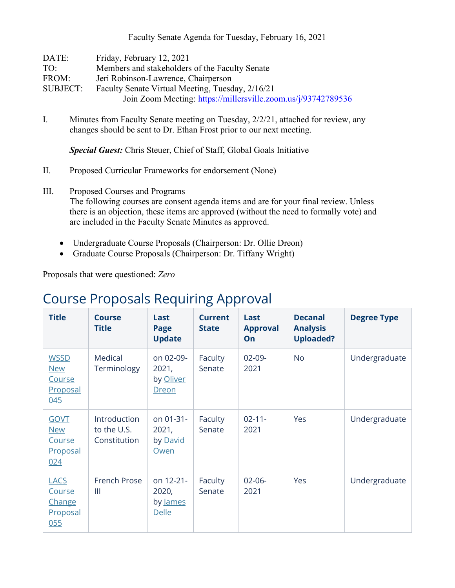Faculty Senate Agenda for Tuesday, February 16, 2021

| DATE:           | Friday, February 12, 2021                                     |
|-----------------|---------------------------------------------------------------|
| TO:             | Members and stakeholders of the Faculty Senate                |
| FROM:           | Jeri Robinson-Lawrence, Chairperson                           |
| <b>SUBJECT:</b> | Faculty Senate Virtual Meeting, Tuesday, 2/16/21              |
|                 | Join Zoom Meeting: https://millersville.zoom.us/j/93742789536 |

I. Minutes from Faculty Senate meeting on Tuesday, 2/2/21, attached for review, any changes should be sent to Dr. Ethan Frost prior to our next meeting.

*Special Guest:* Chris Steuer, Chief of Staff, Global Goals Initiative

- II. Proposed Curricular Frameworks for endorsement (None)
- III. Proposed Courses and Programs The following courses are consent agenda items and are for your final review. Unless

there is an objection, these items are approved (without the need to formally vote) and are included in the Faculty Senate Minutes as approved.

- Undergraduate Course Proposals (Chairperson: Dr. Ollie Dreon)
- Graduate Course Proposals (Chairperson: Dr. Tiffany Wright)

Proposals that were questioned: *Zero*

## Course Proposals Requiring Approval

| <b>Title</b>                                                  | <b>Course</b><br><b>Title</b>               | Last<br>Page<br><b>Update</b>                   | <b>Current</b><br><b>State</b> | Last<br><b>Approval</b><br>On | <b>Decanal</b><br><b>Analysis</b><br><b>Uploaded?</b> | <b>Degree Type</b> |
|---------------------------------------------------------------|---------------------------------------------|-------------------------------------------------|--------------------------------|-------------------------------|-------------------------------------------------------|--------------------|
| <b>WSSD</b><br><b>New</b><br>Course<br>Proposal<br>045        | Medical<br>Terminology                      | on 02-09-<br>2021,<br>by Oliver<br><b>Dreon</b> | Faculty<br>Senate              | $02-09-$<br>2021              | <b>No</b>                                             | Undergraduate      |
| <b>GOVT</b><br><b>New</b><br><b>Course</b><br>Proposal<br>024 | Introduction<br>to the U.S.<br>Constitution | on 01-31-<br>2021,<br>by David<br>Owen          | Faculty<br>Senate              | $02 - 11 -$<br>2021           | Yes                                                   | Undergraduate      |
| <b>LACS</b><br>Course<br>Change<br><u>Proposal</u><br>055     | French Prose<br>Ш                           | on 12-21-<br>2020,<br>by James<br>Delle         | Faculty<br>Senate              | $02 - 06 -$<br>2021           | Yes                                                   | Undergraduate      |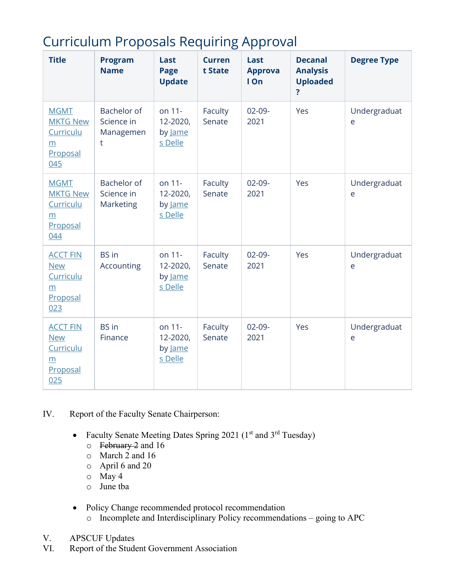| <b>Curriculum Proposals Requiring Approval</b> |  |  |
|------------------------------------------------|--|--|
|                                                |  |  |

| <b>Title</b>                                                        | <b>Program</b><br><b>Name</b>                 | Last<br>Page<br><b>Update</b>            | <b>Curren</b><br>t State | Last<br><b>Approva</b><br>I On | <b>Decanal</b><br><b>Analysis</b><br><b>Uploaded</b><br>? | <b>Degree Type</b> |
|---------------------------------------------------------------------|-----------------------------------------------|------------------------------------------|--------------------------|--------------------------------|-----------------------------------------------------------|--------------------|
| <b>MGMT</b><br><b>MKTG New</b><br>Curriculu<br>m<br>Proposal<br>045 | Bachelor of<br>Science in<br>Managemen<br>t   | on 11-<br>12-2020,<br>by Jame<br>s Delle | Faculty<br>Senate        | $02-09-$<br>2021               | Yes                                                       | Undergraduat<br>e  |
| <b>MGMT</b><br><b>MKTG New</b><br>Curriculu<br>m<br>Proposal<br>044 | <b>Bachelor of</b><br>Science in<br>Marketing | on 11-<br>12-2020,<br>by Jame<br>s Delle | Faculty<br>Senate        | $02-09-$<br>2021               | Yes                                                       | Undergraduat<br>e  |
| <b>ACCT FIN</b><br><b>New</b><br>Curriculu<br>m<br>Proposal<br>023  | <b>BS</b> in<br>Accounting                    | on 11-<br>12-2020,<br>by Jame<br>s Delle | Faculty<br>Senate        | $02-09-$<br>2021               | Yes                                                       | Undergraduat<br>e  |
| <b>ACCT FIN</b><br><b>New</b><br>Curriculu<br>m<br>Proposal<br>025  | <b>BS</b> in<br>Finance                       | on 11-<br>12-2020,<br>by Jame<br>s Delle | Faculty<br>Senate        | $02-09-$<br>2021               | Yes                                                       | Undergraduat<br>e  |

IV. Report of the Faculty Senate Chairperson:

- Faculty Senate Meeting Dates Spring 2021 ( $1<sup>st</sup>$  and  $3<sup>rd</sup>$  Tuesday)
	- $\circ$  February 2 and 16
	- o March 2 and 16
	- o April 6 and 20
	- $\circ$  May 4
	- o June tba
- Policy Change recommended protocol recommendation
	- o Incomplete and Interdisciplinary Policy recommendations going to APC
- V. APSCUF Updates<br>VI. Report of the Stude
- Report of the Student Government Association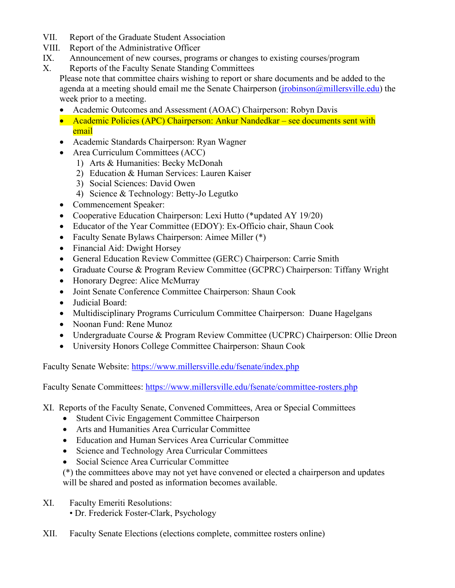- VII. Report of the Graduate Student Association
- VIII. Report of the Administrative Officer
- IX. Announcement of new courses, programs or changes to existing courses/program
- X. Reports of the Faculty Senate Standing Committees
	- Please note that committee chairs wishing to report or share documents and be added to the agenda at a meeting should email me the Senate Chairperson (*jrobinson@millersville.edu*) the week prior to a meeting.
		- Academic Outcomes and Assessment (AOAC) Chairperson: Robyn Davis
		- Academic Policies (APC) Chairperson: Ankur Nandedkar see documents sent with email
		- Academic Standards Chairperson: Ryan Wagner
		- Area Curriculum Committees (ACC)
			- 1) Arts & Humanities: Becky McDonah
			- 2) Education & Human Services: Lauren Kaiser
			- 3) Social Sciences: David Owen
			- 4) Science & Technology: Betty-Jo Legutko
		- Commencement Speaker:
		- Cooperative Education Chairperson: Lexi Hutto (\*updated AY 19/20)
		- Educator of the Year Committee (EDOY): Ex-Officio chair, Shaun Cook
		- Faculty Senate Bylaws Chairperson: Aimee Miller (\*)
		- Financial Aid: Dwight Horsey
		- General Education Review Committee (GERC) Chairperson: Carrie Smith
		- Graduate Course & Program Review Committee (GCPRC) Chairperson: Tiffany Wright
		- Honorary Degree: Alice McMurray
		- Joint Senate Conference Committee Chairperson: Shaun Cook
		- Judicial Board:
		- Multidisciplinary Programs Curriculum Committee Chairperson: Duane Hagelgans
		- Noonan Fund: Rene Munoz
		- Undergraduate Course & Program Review Committee (UCPRC) Chairperson: Ollie Dreon
		- University Honors College Committee Chairperson: Shaun Cook

Faculty Senate Website:<https://www.millersville.edu/fsenate/index.php>

Faculty Senate Committees:<https://www.millersville.edu/fsenate/committee-rosters.php>

- XI. Reports of the Faculty Senate, Convened Committees, Area or Special Committees
	- Student Civic Engagement Committee Chairperson
	- Arts and Humanities Area Curricular Committee
	- Education and Human Services Area Curricular Committee
	- Science and Technology Area Curricular Committees
	- Social Science Area Curricular Committee

(\*) the committees above may not yet have convened or elected a chairperson and updates will be shared and posted as information becomes available.

- XI. Faculty Emeriti Resolutions:
	- Dr. Frederick Foster-Clark, Psychology
- XII. Faculty Senate Elections (elections complete, committee rosters online)